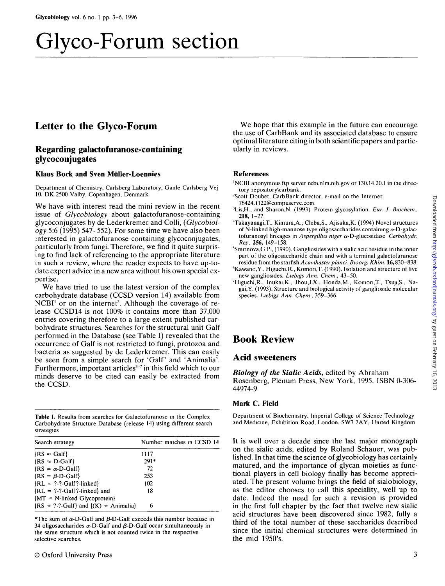# Glyco-Forum section

# Letter to the Glyco-Forum

## Regarding galactofuranose-containing glycoconjugates

#### **Klaus Bock and Sven Miiller-Loennies**

Department of Chemistry, Carlsberg Laboratory, Ganle Carlsberg Vej 10. DK 2500 Valby, Copenhagen, Denmark

We have with interest read the mini review in the recent issue of *Glycobiology* about galactofuranose-containing glycoconjugates by de Lederkremer and Colli, *(Glycobiology* 5:6 (1995) 547-552). For some time we have also been interested in galactofuranose containing glycoconjugates, particularly from fungi. Therefore, we find it quite surprising to find lack of referencing to the appropriate literature in such a review, where the reader expects to have up-todate expert advice in a new area without his own special expertise.

We have tried to use the latest version of the complex carbohydrate database (CCSD version 14) available from NCBI<sup>1</sup> or on the internet<sup>2</sup>. Although the coverage of release CCSD14 is not 100% it contains more than 37,000 entries covering therefore to a large extent published carbohydrate structures. Searches for the structural unit Galf performed in the Database (see Table I) revealed that the occurrence of Galf is not restricted to fungi, protozoa and bacteria as suggested by de Lederkremer. This can easily be seen from a simple search for 'Galf' and 'Animalia'.  $\frac{1}{2}$  because the state of  $\frac{1}{2}$  our and  $\frac{1}{2}$  minimum . minds deserve to be cited can easily be extracted from the CCSD.

**Table I.** Results from searches for Galactofuranose in the Complex Carbohydrate Structure Database (release 14) using different search strategies

| Search strategy                                                                     | Number matches in CCSD 14 |
|-------------------------------------------------------------------------------------|---------------------------|
| $\{RS \approx Galf\}$                                                               | 1117                      |
| $\{RS \approx D\text{-Galf}\}\$                                                     | $291*$                    |
| $\{RS = \alpha \cdot D \cdot Galf\}$                                                | 72                        |
| $\{RS = \beta \cdot D \cdot Galf\}$                                                 | 253                       |
| ${RL = ?-.}$ Galf?-linked}                                                          | 102                       |
| ${RL = ?-.}$ -Galf?-linked} and                                                     | 18                        |
| ${MT = N$ -linked Glycoprotein $}$<br>$\{RS = ?-.?-Galf\}$ and $\{(K) = Animalia\}$ | 6                         |

\*The sum of  $\alpha$ -D-Galf and  $\beta$ -D-Galf exceeds this number because in 34 oligosaccharides  $\alpha$ -D-Galf and  $\beta$ -D-Galf occur simultaneously in the same structure which is not counted twice in the respective selective searches.

We hope that this example in the future can encourage the use of CarbBank and its associated database to ensure optimal literature citing in both scientific papers and particularly in reviews.

#### **References**

'NCBI anonymous ftp server ncbi.nlm.nih.gov or 130.14.20.1 in the directory repository\carbank.

- 2 Scott Doubet, CarbBank director, e-mail on the Internet: 76424.1122@compuserve.com.
- 3 Lis,H., and Sharon.N. (1993) Protein glycosylation. *Eur. J. Biochem.,* **218,** 1-27.
- 4 Takayanagi,T., Kimura,A., Chiba,S., Ajisaka,K. (1994) Novel structures of N-linked high-mannose type oligosaccharides containing  $\alpha$ -D-galactofuranosyl linkages in *Aspergillus niger* a-D-glucosidase *Carbohydr. Res*, **256,** 149-158.
- 5 Smirnova,G.P., (1990). Gangliosides with a sialic acid residue in the inner part of the oligosaccharide chain and with a terminal galactofuranose residue from the starfish Acanthaster planci. Bworg. Khim. 16,830-838.
- $Kawano, Y$ , Higuchi, R., Komori, T. (1990). Isolation and structure of five new gangliosides. *Liebigs Ann. Chem.,* 43-50.
- <sup>7</sup>Higuchi,R., Inukai,K., Jhou.J.X., Honda,M., Komon.T., Tsuji,S., Nagai,Y. (1993). Structure and biological activity of ganglioside molecular species. *Liebigs Ann. Chem*, 359-366.

## Book Review

### Acid sweeteners

*Biology of the Sialic Acids,* edited by Abraham Rosenberg, Plenum Press, New York, 1995. ISBN 0-306- 44974-9

#### **Mark C. Field**

Department of Biochemistry. Imperial College of Science Technology and Medicine, Exhibition Road, London, SW7 2AY, United Kingdom

It is well over a decade since the last major monograph on the sialic acids, edited by Roland Schauer, was published. In that time the science of glycobiology has certainly matured, and the importance of glycan moieties as functional players in cell biology finally has become appreciated. The present volume brings the field of sialobiology, as the editor chooses to call this speciality, well up to date. Indeed the need for such a revision is provided in the first full chapter by the fact that twelve new sialic acid structures have been discovered since 1982, fully a third of the total number of these saccharides described since the initial chemical structures were determined in the mid 1950's.